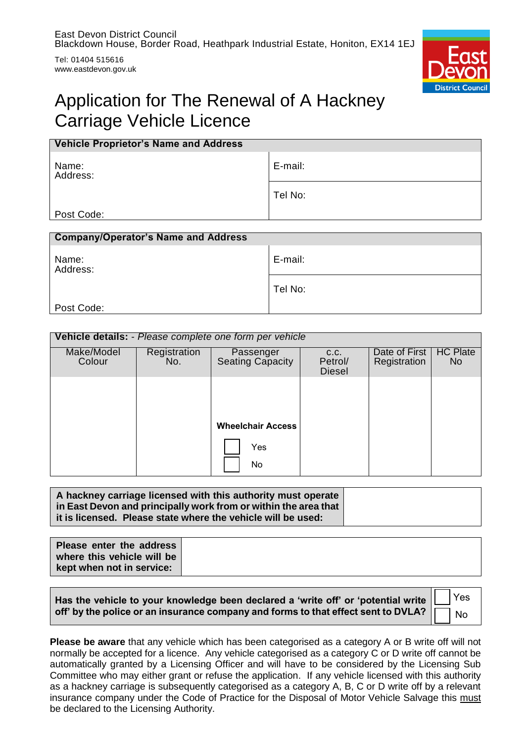Tel: 01404 515616 www.eastdevon.gov.uk



# Application for The Renewal of A Hackney Carriage Vehicle Licence

| <b>Vehicle Proprietor's Name and Address</b> |         |
|----------------------------------------------|---------|
| Name:<br>Address:                            | E-mail: |
|                                              | Tel No: |
| Post Code:                                   |         |

| <b>Company/Operator's Name and Address</b> |         |
|--------------------------------------------|---------|
| Name:<br>Address:                          | E-mail: |
|                                            | Tel No: |
| Post Code:                                 |         |

#### **Vehicle details:** - *Please complete one form per vehicle* Make/Model Colour **Registration** No. Passenger Seating Capacity c.c. Petrol/ Diesel Date of First **Registration HC Plate** No **Wheelchair Access** Yes No

| A hackney carriage licensed with this authority must operate    |  |
|-----------------------------------------------------------------|--|
| in East Devon and principally work from or within the area that |  |
| it is licensed. Please state where the vehicle will be used:    |  |

| Please enter the address   |  |
|----------------------------|--|
| where this vehicle will be |  |
| kept when not in service:  |  |

| Has the vehicle to your knowledge been declared a 'write off' or 'potential write |  |  |
|-----------------------------------------------------------------------------------|--|--|
| off' by the police or an insurance company and forms to that effect sent to DVLA? |  |  |

Yes No

**Please be aware** that any vehicle which has been categorised as a category A or B write off will not normally be accepted for a licence. Any vehicle categorised as a category C or D write off cannot be automatically granted by a Licensing Officer and will have to be considered by the Licensing Sub Committee who may either grant or refuse the application. If any vehicle licensed with this authority as a hackney carriage is subsequently categorised as a category A, B, C or D write off by a relevant insurance company under the Code of Practice for the Disposal of Motor Vehicle Salvage this must be declared to the Licensing Authority.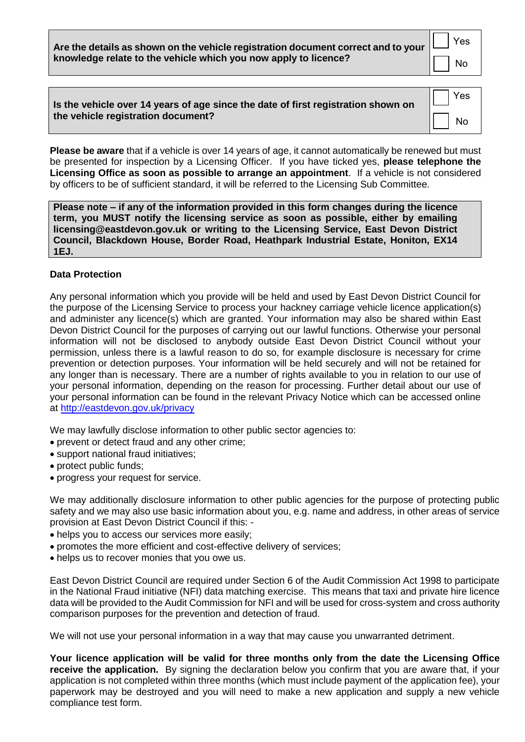**Are the details as shown on the vehicle registration document correct and to your knowledge relate to the vehicle which you now apply to licence?**

No

Yes

| Is the vehicle over 14 years of age since the date of first registration shown on<br>the vehicle registration document? | Yes       |
|-------------------------------------------------------------------------------------------------------------------------|-----------|
|                                                                                                                         | <b>No</b> |

**Please be aware** that if a vehicle is over 14 years of age, it cannot automatically be renewed but must be presented for inspection by a Licensing Officer. If you have ticked yes, **please telephone the Licensing Office as soon as possible to arrange an appointment**. If a vehicle is not considered by officers to be of sufficient standard, it will be referred to the Licensing Sub Committee.

**Please note – if any of the information provided in this form changes during the licence term, you MUST notify the licensing service as soon as possible, either by emailing licensing@eastdevon.gov.uk or writing to the Licensing Service, East Devon District Council, Blackdown House, Border Road, Heathpark Industrial Estate, Honiton, EX14 1EJ.**

### **Data Protection**

Any personal information which you provide will be held and used by East Devon District Council for the purpose of the Licensing Service to process your hackney carriage vehicle licence application(s) and administer any licence(s) which are granted. Your information may also be shared within East Devon District Council for the purposes of carrying out our lawful functions. Otherwise your personal information will not be disclosed to anybody outside East Devon District Council without your permission, unless there is a lawful reason to do so, for example disclosure is necessary for crime prevention or detection purposes. Your information will be held securely and will not be retained for any longer than is necessary. There are a number of rights available to you in relation to our use of your personal information, depending on the reason for processing. Further detail about our use of your personal information can be found in the relevant Privacy Notice which can be accessed online at<http://eastdevon.gov.uk/privacy>

We may lawfully disclose information to other public sector agencies to:

- prevent or detect fraud and any other crime;
- support national fraud initiatives;
- protect public funds;
- progress your request for service.

We may additionally disclosure information to other public agencies for the purpose of protecting public safety and we may also use basic information about you, e.g. name and address, in other areas of service provision at East Devon District Council if this: -

- helps you to access our services more easily;
- promotes the more efficient and cost-effective delivery of services;
- helps us to recover monies that you owe us.

East Devon District Council are required under Section 6 of the Audit Commission Act 1998 to participate in the National Fraud initiative (NFI) data matching exercise. This means that taxi and private hire licence data will be provided to the Audit Commission for NFI and will be used for cross-system and cross authority comparison purposes for the prevention and detection of fraud.

We will not use your personal information in a way that may cause you unwarranted detriment.

**Your licence application will be valid for three months only from the date the Licensing Office receive the application.** By signing the declaration below you confirm that you are aware that, if your application is not completed within three months (which must include payment of the application fee), your paperwork may be destroyed and you will need to make a new application and supply a new vehicle compliance test form.